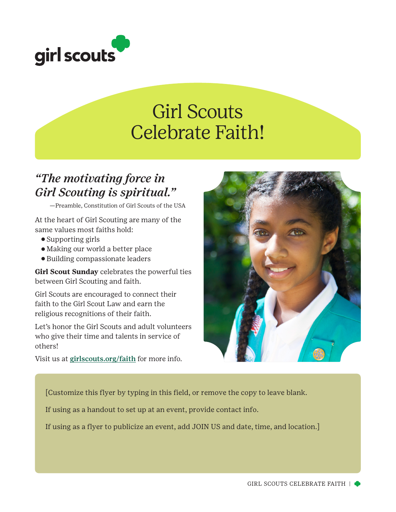

## Girl Scouts Celebrate Faith!

## *"The motivating force in Girl Scouting is spiritual."*

—Preamble, Constitution of Girl Scouts of the USA

At the heart of Girl Scouting are many of the same values most faiths hold:

- ⚬ Supporting girls
- ⚬ Making our world a better place
- ⚬ Building compassionate leaders

**Girl Scout Sunday** celebrates the powerful ties between Girl Scouting and faith.

Girl Scouts are encouraged to connect their faith to the Girl Scout Law and earn the religious recognitions of their faith.

Let's honor the Girl Scouts and adult volunteers who give their time and talents in service of others!

Visit us at girlscouts.org/faith for more info.



[Customize this flyer by typing in this field, or remove the copy to leave blank.

If using as a handout to set up at an event, provide contact info.

If using as a flyer to publicize an event, add JOIN US and date, time, and location.]